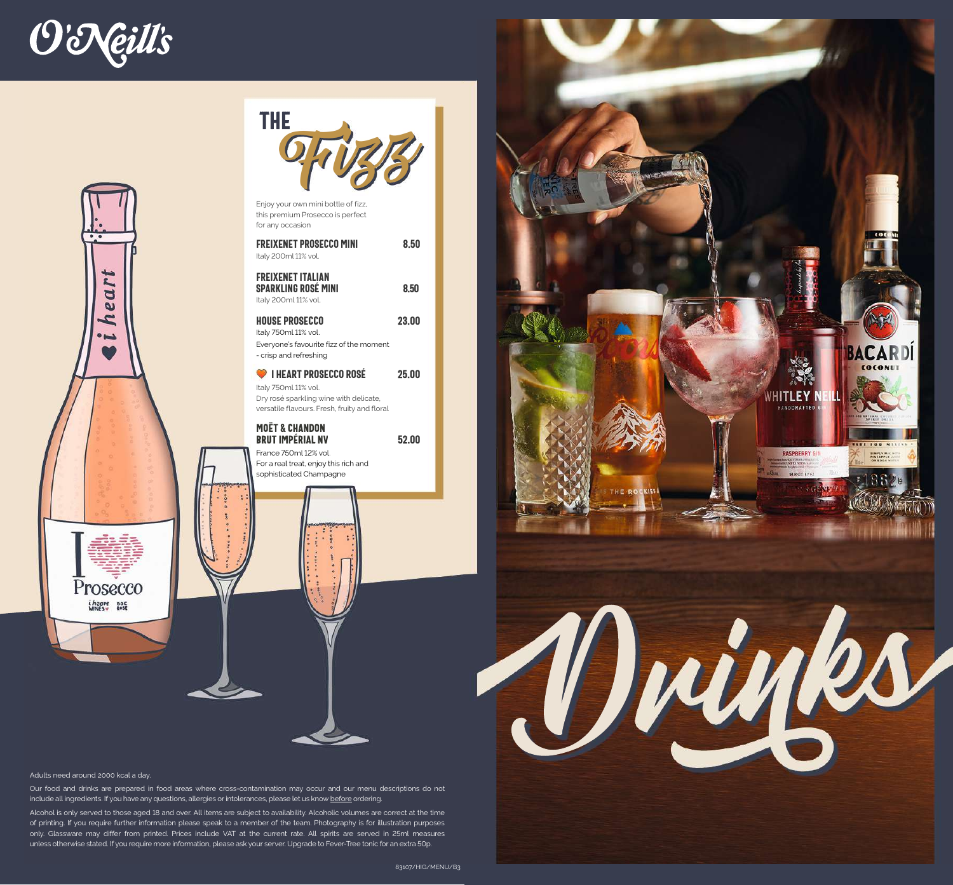





Enjoy your own mini bottle of fizz, this premium Prosecco is perfect for any occasion

| <b>FREIXENET PROSECCO MINI</b><br>Italy 200ml 11% vol.                         | 8.50  |
|--------------------------------------------------------------------------------|-------|
| <b>FREIXENET ITALIAN</b><br><b>SPARKLING ROSÉ MINI</b><br>Italy 200ml 11% vol. | 8.50  |
| <b>HOUSE PROSECCO</b>                                                          | 23.00 |

Italy 750ml 11% vol. Everyone's favourite fizz of the moment - crisp and refreshing

**I HEART PROSECCO ROSÉ** 25.00 Italy 750ml 11% vol. Dry rosé sparkling wine with delicate, versatile flavours. Fresh, fruity and floral

MoËt & Chandon Brut IMPÉRIAL NV 52.00 France 750ml 12% vol.

For a real treat, enjoy this rich and sophisticated Champagne



Our food and drinks are prepared in food areas where cross-contamination may occur and our menu descriptions do not include all ingredients. If you have any questions, allergies or intolerances, please let us know before ordering.

Alcohol is only served to those aged 18 and over. All items are subject to availability. Alcoholic volumes are correct at the time of printing. If you require further information please speak to a member of the team. Photography is for illustration purposes only. Glassware may differ from printed. Prices include VAT at the current rate. All spirits are served in 25ml measures unless otherwise stated. If you require more information, please ask your server. Upgrade to Fever-Tree tonic for an extra 50p.

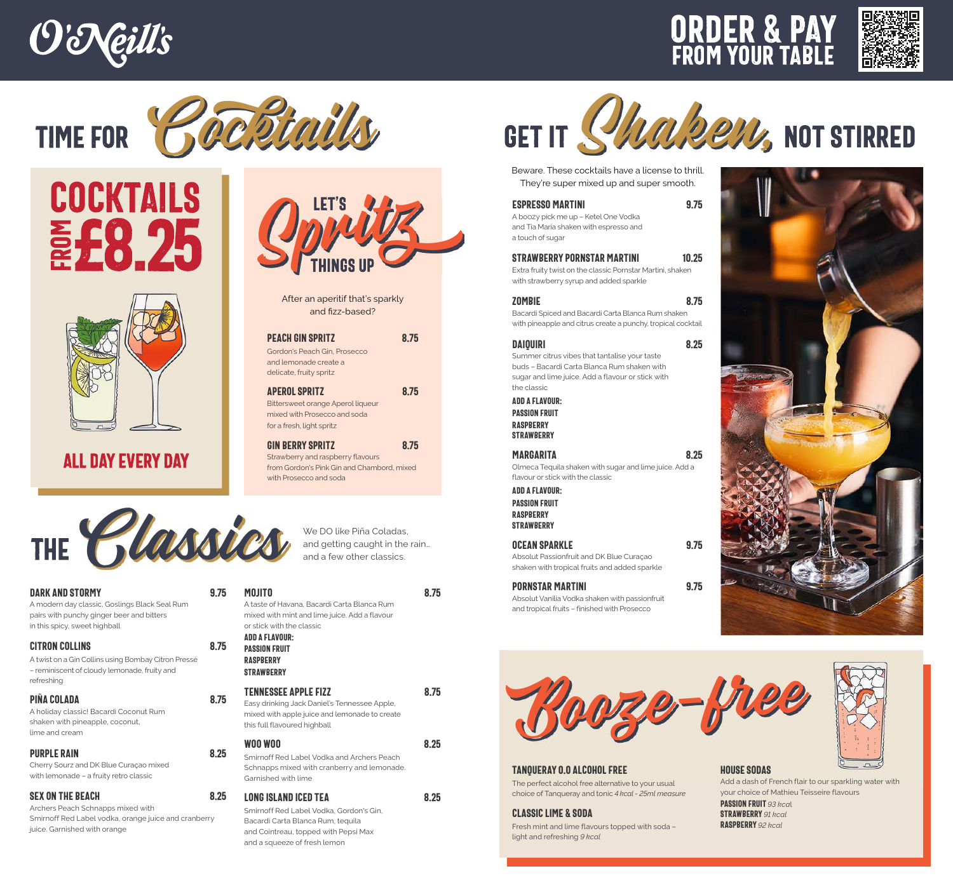





### £8.25 COCKTAILS **Factor e**  $\blacksquare$ M



## ALL DAY EVERY DAY



DARK AND STORMY 9.75 A modern day classic, Goslings Black Seal Rum pairs with punchy ginger beer and bitters in this spicy, sweet highball CITRON COLLINS 8.75

#### A twist on a Gin Collins using Bombay Citron Pressé – reminiscent of cloudy lemonade, fruity and refreshing

#### Piña Colada 8.75

A holiday classic! Bacardi Coconut Rum shaken with pineapple, coconut, lime and cream

#### PURPLE RAIN 8.25

Cherry Sourz and DK Blue Curaçao mixed with lemonade – a fruity retro classic

#### SEX ON THE BEACH 8.25

Archers Peach Schnapps mixed with Smirnoff Red Label vodka, orange juice and cranberry juice. Garnished with orange



After an aperitif that's sparkly and fizz-based?

#### PEACH GIN SPRITZ 8.75

Gordon's Peach Gin, Prosecco and lemonade create a delicate, fruity spritz

Aperol Spritz 8.75 Bittersweet orange Aperol liqueur mixed with Prosecco and soda for a fresh, light spritz

GIN BERRY SPRITZ 8.75 Strawberry and raspberry flavours from Gordon's Pink Gin and Chambord, mixed with Prosecco and soda

We DO like Piña Coladas,

| MOJITO<br>A taste of Havana, Bacardi Carta Blanca Rum<br>mixed with mint and lime juice. Add a flavour<br>or stick with the classic<br>ADD A FLAVOUR:<br><b>PASSION FRUIT</b><br><b>RASPBERRY</b><br><b>STRAWBERRY</b> |      |
|------------------------------------------------------------------------------------------------------------------------------------------------------------------------------------------------------------------------|------|
| <b>TENNESSEE APPLE FIZZ</b><br>Easy drinking Jack Daniel's Tennessee Apple,<br>mixed with apple juice and lemonade to create<br>this full flavoured highball                                                           | 8 75 |
| <b>WOO WOO</b><br>Smirnoff Red Label Vodka and Archers Peach<br>Schnapps mixed with cranberry and lemonade.<br>Garnished with lime                                                                                     | 8.25 |

LONG ISLAND ICED TEA 8.25 Smirnoff Red Label Vodka, Gordon's Gin, Bacardi Carta Blanca Rum, tequila and Cointreau, topped with Pepsi Max and a squeeze of fresh lemon



Beware. These cocktails have a license to thrill. They're super mixed up and super smooth.

#### Espresso Martini 9.75

A boozy pick me up – Ketel One Vodka and Tia Maria shaken with espresso and a touch of sugar

#### Strawberry Pornstar martini 10.25 Extra fruity twist on the classic Pornstar Martini, shaken with strawberry syrup and added sparkle

#### ZOMBIE 8.75

Bacardi Spiced and Bacardi Carta Blanca Rum shaken with pineapple and citrus create a punchy, tropical cocktail

#### Daiquiri 8.25

Summer citrus vibes that tantalise your taste buds – Bacardi Carta Blanca Rum shaken with sugar and lime juice. Add a flavour or stick with the classic

#### add a flavour:

Passion fruit **RASPBERRY STRAWBERRY** 

#### MARGARITA 8.25

Olmeca Tequila shaken with sugar and lime juice. Add a flavour or stick with the classic

add a flavour: Passion fruit RASPRERRY **STRAWBERRY** 

OCEAN SPARKLE 9.75 Absolut Passionfruit and DK Blue Curaçao shaken with tropical fruits and added sparkle

#### Pornstar Martini 9.75 Absolut Vanilia Vodka shaken with passionfruit and tropical fruits – finished with Prosecco







Fresh mint and lime flavours topped with soda –

Classic Lime & Soda

light and refreshing *9 kcal*

#### house Sodas Add a dash of French flair to our sparkling water with your choice of Mathieu Teisseire flavours Passion fruit *93 kca*<sup>l</sup> Strawberry *91 kcal* Raspberry *92 kcal*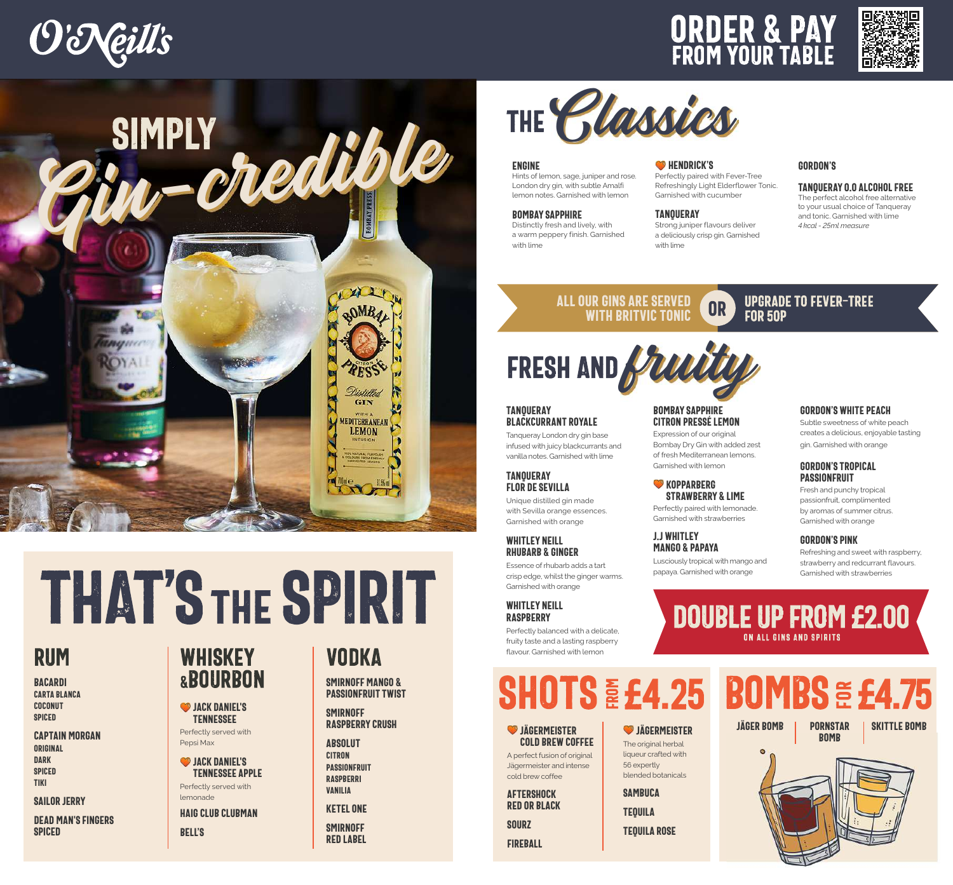







# THAT'S THE SPIRIT

## RUM

Bacardi Carta Blanca **COCONUT SPICED** 

Captain Morgan Original **DARK SPICED** TikI

#### **SAILOR JERRY**

Dead Man's Fingers **SPICED** 

## WHISKEY &BOURBON

**SP JACK DANIEL'S** Tennessee

Perfectly served with Pepsi Max

**SP** JACK DANIEL'S Tennessee Apple Perfectly served with

lemonade Haig Club CLUBMAN Bell's

## VODKA

Smirnoff Mango & PASSIONFRUIT TWIST

#### **SMIRNOFF** Raspberry Crush

**ABSOLUT CITRON** PASSIONFRUIT RASPRERRI Vanilia

Ketel One **SMIRNOFF** 

Red Label

#### Engine

Hints of lemon, sage, juniper and rose. London dry gin, with subtle Amalfi lemon notes. Garnished with lemon

#### Bombay Sapphire

Distinctly fresh and lively, with a warm peppery finish. Garnished with lime

#### **W** HENDRICK'S

Perfectly paired with Fever-Tree Refreshingly Light Elderflower Tonic. Garnished with cucumber

## **TANQUERAY**

Bombay Sapphire Citron Pressé Lemon Expression of our original Bombay Dry Gin with added zest of fresh Mediterranean lemons. Garnished with lemon **W** KOPPARBERG

STRAWBERRY & LIME Perfectly paired with lemonade. Garnished with strawberries

Lusciously tropical with mango and papaya. Garnished with orange

J.J Whitley Mango & Papaya

Strong juniper flavours deliver a deliciously crisp gin. Garnished with lime

#### Gordon's

Tanqueray 0.0 Alcohol Free

The perfect alcohol free alternative to your usual choice of Tanqueray and tonic. Garnished with lime *4 kcal - 25ml measure*

#### OR All our gins are served with Britvic tonic

# FRESH AND

#### **TANOUERAY** Blackcurrant Royale

Tanqueray London dry gin base infused with juicy blackcurrants and vanilla notes. Garnished with lime

#### **TANOUERAY** Flor de Sevilla

Unique distilled gin made with Sevilla orange essences. Garnished with orange

#### Whitley Neill RHUBARB & GINGER

Essence of rhubarb adds a tart crisp edge, whilst the ginger warms. Garnished with orange

#### WHITLEY NEILL **RASPBERRY**

Perfectly balanced with a delicate, fruity taste and a lasting raspberry flavour. Garnished with lemon

#### **SHOTS**  $\boldsymbol{\alpha}$  : o i

#### **JÄGERMEISTER** cold brew COFFEE

A perfect fusion of original Jägermeister and intense cold brew coffee Aftershock red or black

**SOURZ FIREBALL**  56 expertly

**SAMBUCA** 

**TEQUILA** 

#### **JÄGERMEISTER**

The original herbal liqueur crafted with blended botanicals

**TEQUILA ROSE** 

#### UPGRADE TO FEVER-TREE FOR 50p

Gordon's White Peach Subtle sweetness of white peach

creates a delicious, enjoyable tasting gin. Garnished with orange

#### Gordon's Tropical **PASSIONFRUIT**

Fresh and punchy tropical passionfruit, complimented by aromas of summer citrus. Garnished with orange

#### Gordon's Pink

Refreshing and sweet with raspberry, strawberry and redcurrant flavours. Garnished with strawberries

## DOUBLE UP FROM£2.00 ON ALL GINS AND SPIRITS

 $E_4$ .25 BOMBS  $E_5$ o '  $E$   $E$ 4.75